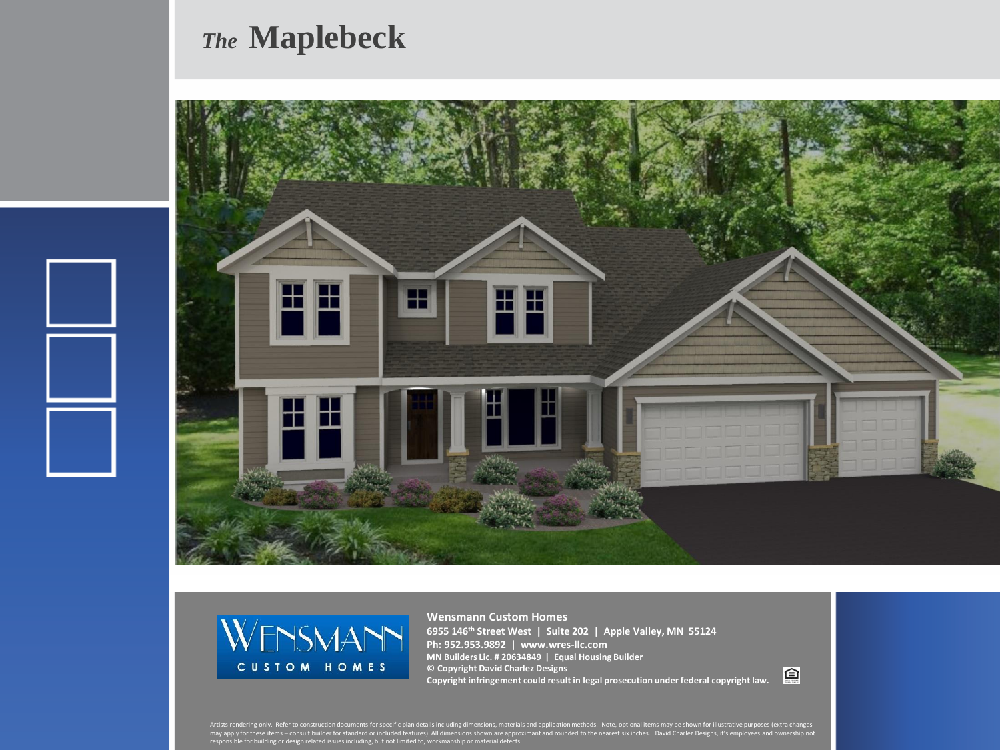## *The* **Maplebeck**





**Wensmann Custom Homes 6955 146th Street West | Suite 202 | Apple Valley, MN 55124 Ph: 952.953.9892 | www.wres-llc.com MN Builders Lic. # 20634849 | Equal Housing Builder © Copyright David Charlez Designs Copyright infringement could result in legal prosecution under federal copyright law.**

回

Artists rendering only. Refer to construction documents for specific plan details including dimensions, materials and application methods. Note, optional items may be shown for illustrative purposes (extra changes<br>may appl